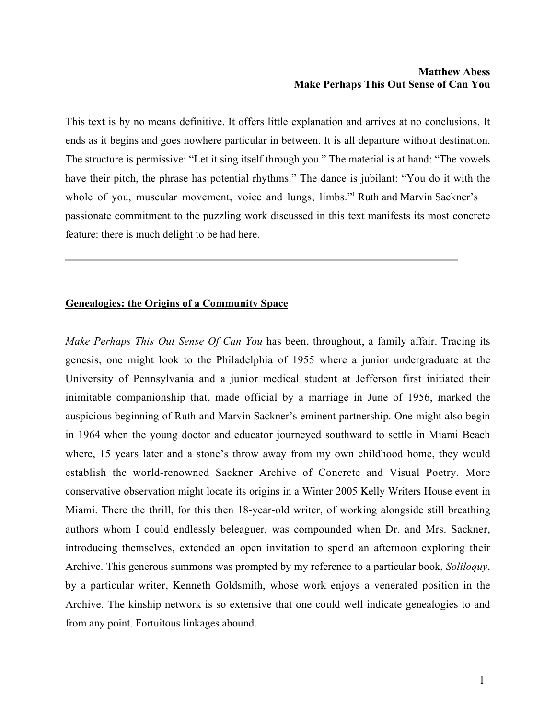## **Matthew Abess Make Perhaps This Out Sense of Can You**

This text is by no means definitive. It offers little explanation and arrives at no conclusions. It ends as it begins and goes nowhere particular in between. It is all departure without destination. The structure is permissive: "Let it sing itself through you." The material is at hand: "The vowels have their pitch, the phrase has potential rhythms." The dance is jubilant: "You do it with the whole of you, muscular movement, voice and lungs, limbs."<sup>1</sup> Ruth and Marvin Sackner's passionate commitment to the puzzling work discussed in this text manifests its most concrete feature: there is much delight to be had here.

## **Genealogies: the Origins of a Community Space**

*Make Perhaps This Out Sense Of Can You* has been, throughout, a family affair. Tracing its genesis, one might look to the Philadelphia of 1955 where a junior undergraduate at the University of Pennsylvania and a junior medical student at Jefferson first initiated their inimitable companionship that, made official by a marriage in June of 1956, marked the auspicious beginning of Ruth and Marvin Sackner's eminent partnership. One might also begin in 1964 when the young doctor and educator journeyed southward to settle in Miami Beach where, 15 years later and a stone's throw away from my own childhood home, they would establish the world-renowned Sackner Archive of Concrete and Visual Poetry. More conservative observation might locate its origins in a Winter 2005 Kelly Writers House event in Miami. There the thrill, for this then 18-year-old writer, of working alongside still breathing authors whom I could endlessly beleaguer, was compounded when Dr. and Mrs. Sackner, introducing themselves, extended an open invitation to spend an afternoon exploring their Archive. This generous summons was prompted by my reference to a particular book, *Soliloquy*, by a particular writer, Kenneth Goldsmith, whose work enjoys a venerated position in the Archive. The kinship network is so extensive that one could well indicate genealogies to and from any point. Fortuitous linkages abound.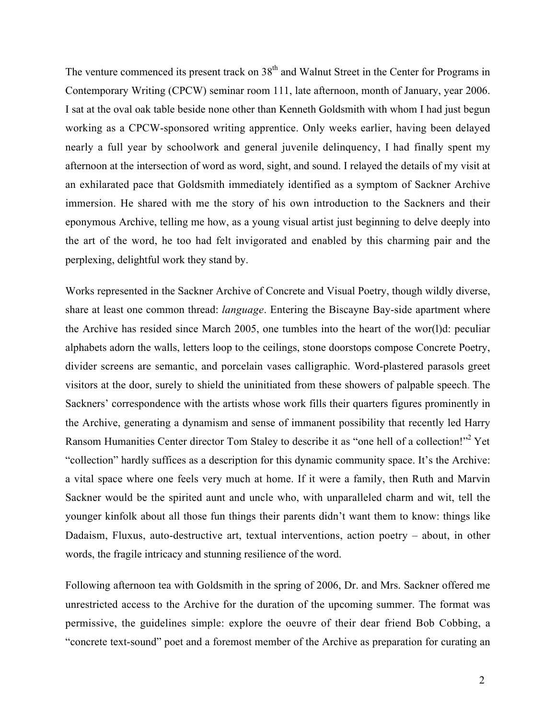The venture commenced its present track on 38<sup>th</sup> and Walnut Street in the Center for Programs in Contemporary Writing (CPCW) seminar room 111, late afternoon, month of January, year 2006. I sat at the oval oak table beside none other than Kenneth Goldsmith with whom I had just begun working as a CPCW-sponsored writing apprentice. Only weeks earlier, having been delayed nearly a full year by schoolwork and general juvenile delinquency, I had finally spent my afternoon at the intersection of word as word, sight, and sound. I relayed the details of my visit at an exhilarated pace that Goldsmith immediately identified as a symptom of Sackner Archive immersion. He shared with me the story of his own introduction to the Sackners and their eponymous Archive, telling me how, as a young visual artist just beginning to delve deeply into the art of the word, he too had felt invigorated and enabled by this charming pair and the perplexing, delightful work they stand by.

Works represented in the Sackner Archive of Concrete and Visual Poetry, though wildly diverse, share at least one common thread: *language*. Entering the Biscayne Bay-side apartment where the Archive has resided since March 2005, one tumbles into the heart of the wor(l)d: peculiar alphabets adorn the walls, letters loop to the ceilings, stone doorstops compose Concrete Poetry, divider screens are semantic, and porcelain vases calligraphic. Word-plastered parasols greet visitors at the door, surely to shield the uninitiated from these showers of palpable speech. The Sackners' correspondence with the artists whose work fills their quarters figures prominently in the Archive, generating a dynamism and sense of immanent possibility that recently led Harry Ransom Humanities Center director Tom Staley to describe it as "one hell of a collection!"<sup>2</sup> Yet "collection" hardly suffices as a description for this dynamic community space. It's the Archive: a vital space where one feels very much at home. If it were a family, then Ruth and Marvin Sackner would be the spirited aunt and uncle who, with unparalleled charm and wit, tell the younger kinfolk about all those fun things their parents didn't want them to know: things like Dadaism, Fluxus, auto-destructive art, textual interventions, action poetry – about, in other words, the fragile intricacy and stunning resilience of the word.

Following afternoon tea with Goldsmith in the spring of 2006, Dr. and Mrs. Sackner offered me unrestricted access to the Archive for the duration of the upcoming summer. The format was permissive, the guidelines simple: explore the oeuvre of their dear friend Bob Cobbing, a "concrete text-sound" poet and a foremost member of the Archive as preparation for curating an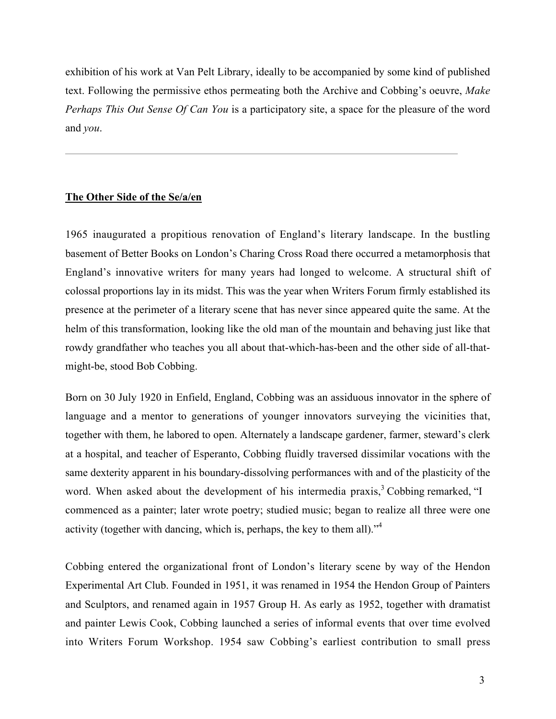exhibition of his work at Van Pelt Library, ideally to be accompanied by some kind of published text. Following the permissive ethos permeating both the Archive and Cobbing's oeuvre, *Make Perhaps This Out Sense Of Can You* is a participatory site, a space for the pleasure of the word and *you*.

## **The Other Side of the Se/a/en**

1965 inaugurated a propitious renovation of England's literary landscape. In the bustling basement of Better Books on London's Charing Cross Road there occurred a metamorphosis that England's innovative writers for many years had longed to welcome. A structural shift of colossal proportions lay in its midst. This was the year when Writers Forum firmly established its presence at the perimeter of a literary scene that has never since appeared quite the same. At the helm of this transformation, looking like the old man of the mountain and behaving just like that rowdy grandfather who teaches you all about that-which-has-been and the other side of all-thatmight-be, stood Bob Cobbing.

Born on 30 July 1920 in Enfield, England, Cobbing was an assiduous innovator in the sphere of language and a mentor to generations of younger innovators surveying the vicinities that, together with them, he labored to open. Alternately a landscape gardener, farmer, steward's clerk at a hospital, and teacher of Esperanto, Cobbing fluidly traversed dissimilar vocations with the same dexterity apparent in his boundary-dissolving performances with and of the plasticity of the word. When asked about the development of his intermedia praxis, $3^3$  Cobbing remarked, "I commenced as a painter; later wrote poetry; studied music; began to realize all three were one activity (together with dancing, which is, perhaps, the key to them all)."4

Cobbing entered the organizational front of London's literary scene by way of the Hendon Experimental Art Club. Founded in 1951, it was renamed in 1954 the Hendon Group of Painters and Sculptors, and renamed again in 1957 Group H. As early as 1952, together with dramatist and painter Lewis Cook, Cobbing launched a series of informal events that over time evolved into Writers Forum Workshop. 1954 saw Cobbing's earliest contribution to small press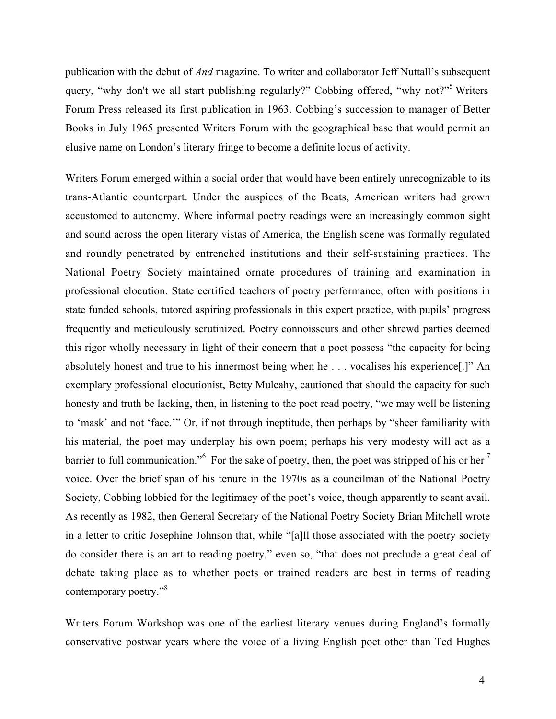publication with the debut of *And* magazine. To writer and collaborator Jeff Nuttall's subsequent query, "why don't we all start publishing regularly?" Cobbing offered, "why not?"<sup>5</sup> Writers Forum Press released its first publication in 1963. Cobbing's succession to manager of Better Books in July 1965 presented Writers Forum with the geographical base that would permit an elusive name on London's literary fringe to become a definite locus of activity.

Writers Forum emerged within a social order that would have been entirely unrecognizable to its trans-Atlantic counterpart. Under the auspices of the Beats, American writers had grown accustomed to autonomy. Where informal poetry readings were an increasingly common sight and sound across the open literary vistas of America, the English scene was formally regulated and roundly penetrated by entrenched institutions and their self-sustaining practices. The National Poetry Society maintained ornate procedures of training and examination in professional elocution. State certified teachers of poetry performance, often with positions in state funded schools, tutored aspiring professionals in this expert practice, with pupils' progress frequently and meticulously scrutinized. Poetry connoisseurs and other shrewd parties deemed this rigor wholly necessary in light of their concern that a poet possess "the capacity for being absolutely honest and true to his innermost being when he . . . vocalises his experience[.]" An exemplary professional elocutionist, Betty Mulcahy, cautioned that should the capacity for such honesty and truth be lacking, then, in listening to the poet read poetry, "we may well be listening to 'mask' and not 'face.'" Or, if not through ineptitude, then perhaps by "sheer familiarity with his material, the poet may underplay his own poem; perhaps his very modesty will act as a barrier to full communication."<sup>6</sup> For the sake of poetry, then, the poet was stripped of his or her  $^7$ voice. Over the brief span of his tenure in the 1970s as a councilman of the National Poetry Society, Cobbing lobbied for the legitimacy of the poet's voice, though apparently to scant avail. As recently as 1982, then General Secretary of the National Poetry Society Brian Mitchell wrote in a letter to critic Josephine Johnson that, while "[a]ll those associated with the poetry society do consider there is an art to reading poetry," even so, "that does not preclude a great deal of debate taking place as to whether poets or trained readers are best in terms of reading contemporary poetry."<sup>8</sup>

Writers Forum Workshop was one of the earliest literary venues during England's formally conservative postwar years where the voice of a living English poet other than Ted Hughes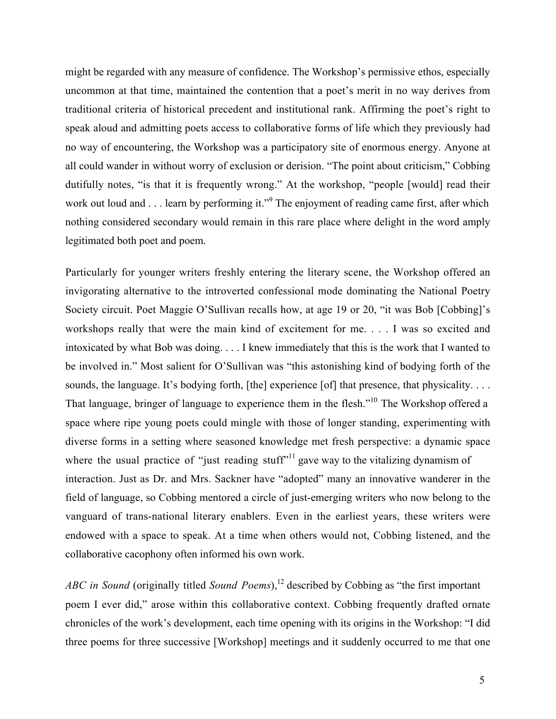might be regarded with any measure of confidence. The Workshop's permissive ethos, especially uncommon at that time, maintained the contention that a poet's merit in no way derives from traditional criteria of historical precedent and institutional rank. Affirming the poet's right to speak aloud and admitting poets access to collaborative forms of life which they previously had no way of encountering, the Workshop was a participatory site of enormous energy. Anyone at all could wander in without worry of exclusion or derision. "The point about criticism," Cobbing dutifully notes, "is that it is frequently wrong." At the workshop, "people [would] read their work out loud and . . . learn by performing it."<sup>9</sup> The enjoyment of reading came first, after which nothing considered secondary would remain in this rare place where delight in the word amply legitimated both poet and poem.

Particularly for younger writers freshly entering the literary scene, the Workshop offered an invigorating alternative to the introverted confessional mode dominating the National Poetry Society circuit. Poet Maggie O'Sullivan recalls how, at age 19 or 20, "it was Bob [Cobbing]'s workshops really that were the main kind of excitement for me. . . . I was so excited and intoxicated by what Bob was doing. . . . I knew immediately that this is the work that I wanted to be involved in." Most salient for O'Sullivan was "this astonishing kind of bodying forth of the sounds, the language. It's bodying forth, [the] experience [of] that presence, that physicality. . . . That language, bringer of language to experience them in the flesh."<sup>10</sup> The Workshop offered a space where ripe young poets could mingle with those of longer standing, experimenting with diverse forms in a setting where seasoned knowledge met fresh perspective: a dynamic space where the usual practice of "just reading stuff"<sup>11</sup> gave way to the vitalizing dynamism of interaction. Just as Dr. and Mrs. Sackner have "adopted" many an innovative wanderer in the field of language, so Cobbing mentored a circle of just-emerging writers who now belong to the vanguard of trans-national literary enablers. Even in the earliest years, these writers were endowed with a space to speak. At a time when others would not, Cobbing listened, and the collaborative cacophony often informed his own work.

ABC in Sound (originally titled Sound Poems),<sup>12</sup> described by Cobbing as "the first important poem I ever did," arose within this collaborative context. Cobbing frequently drafted ornate chronicles of the work's development, each time opening with its origins in the Workshop: "I did three poems for three successive [Workshop] meetings and it suddenly occurred to me that one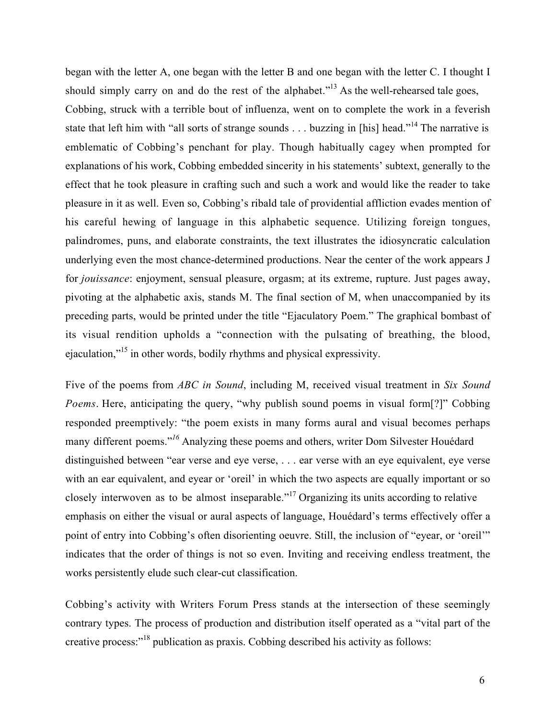began with the letter A, one began with the letter B and one began with the letter C. I thought I should simply carry on and do the rest of the alphabet."<sup>13</sup> As the well-rehearsed tale goes, Cobbing, struck with a terrible bout of influenza, went on to complete the work in a feverish state that left him with "all sorts of strange sounds . . . buzzing in [his] head."<sup>14</sup> The narrative is emblematic of Cobbing's penchant for play. Though habitually cagey when prompted for explanations of his work, Cobbing embedded sincerity in his statements' subtext, generally to the effect that he took pleasure in crafting such and such a work and would like the reader to take pleasure in it as well. Even so, Cobbing's ribald tale of providential affliction evades mention of his careful hewing of language in this alphabetic sequence. Utilizing foreign tongues, palindromes, puns, and elaborate constraints, the text illustrates the idiosyncratic calculation underlying even the most chance-determined productions. Near the center of the work appears J for *jouissance*: enjoyment, sensual pleasure, orgasm; at its extreme, rupture. Just pages away, pivoting at the alphabetic axis, stands M. The final section of M, when unaccompanied by its preceding parts, would be printed under the title "Ejaculatory Poem." The graphical bombast of its visual rendition upholds a "connection with the pulsating of breathing, the blood, ejaculation,"<sup>15</sup> in other words, bodily rhythms and physical expressivity.

Five of the poems from *ABC in Sound*, including M, received visual treatment in *Six Sound Poems*. Here, anticipating the query, "why publish sound poems in visual form<sup>[?]"</sup> Cobbing responded preemptively: "the poem exists in many forms aural and visual becomes perhaps many different poems."*<sup>16</sup>* Analyzing these poems and others, writer Dom Silvester Houédard distinguished between "ear verse and eye verse, . . . ear verse with an eye equivalent, eye verse with an ear equivalent, and eyear or 'oreil' in which the two aspects are equally important or so closely interwoven as to be almost inseparable."<sup>17</sup> Organizing its units according to relative emphasis on either the visual or aural aspects of language, Houédard's terms effectively offer a point of entry into Cobbing's often disorienting oeuvre. Still, the inclusion of "eyear, or 'oreil'" indicates that the order of things is not so even. Inviting and receiving endless treatment, the works persistently elude such clear-cut classification.

Cobbing's activity with Writers Forum Press stands at the intersection of these seemingly contrary types. The process of production and distribution itself operated as a "vital part of the creative process: $18$  publication as praxis. Cobbing described his activity as follows: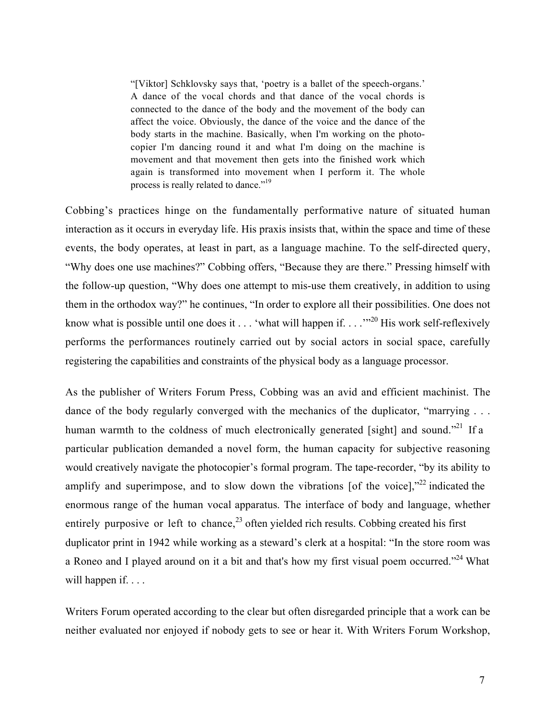"[Viktor] Schklovsky says that, 'poetry is a ballet of the speech-organs.' A dance of the vocal chords and that dance of the vocal chords is connected to the dance of the body and the movement of the body can affect the voice. Obviously, the dance of the voice and the dance of the body starts in the machine. Basically, when I'm working on the photocopier I'm dancing round it and what I'm doing on the machine is movement and that movement then gets into the finished work which again is transformed into movement when I perform it. The whole process is really related to dance."19

Cobbing's practices hinge on the fundamentally performative nature of situated human interaction as it occurs in everyday life. His praxis insists that, within the space and time of these events, the body operates, at least in part, as a language machine. To the self-directed query, "Why does one use machines?" Cobbing offers, "Because they are there." Pressing himself with the follow-up question, "Why does one attempt to mis-use them creatively, in addition to using them in the orthodox way?" he continues, "In order to explore all their possibilities. One does not know what is possible until one does it . . . 'what will happen if. . . .'"<sup>20</sup> His work self-reflexively performs the performances routinely carried out by social actors in social space, carefully registering the capabilities and constraints of the physical body as a language processor.

As the publisher of Writers Forum Press, Cobbing was an avid and efficient machinist. The dance of the body regularly converged with the mechanics of the duplicator, "marrying ... human warmth to the coldness of much electronically generated [sight] and sound."<sup>21</sup> If a particular publication demanded a novel form, the human capacity for subjective reasoning would creatively navigate the photocopier's formal program. The tape-recorder, "by its ability to amplify and superimpose, and to slow down the vibrations [of the voice],"<sup>22</sup> indicated the enormous range of the human vocal apparatus. The interface of body and language, whether entirely purposive or left to chance,<sup>23</sup> often yielded rich results. Cobbing created his first duplicator print in 1942 while working as a steward's clerk at a hospital: "In the store room was a Roneo and I played around on it a bit and that's how my first visual poem occurred."<sup>24</sup> What will happen if. . . .

Writers Forum operated according to the clear but often disregarded principle that a work can be neither evaluated nor enjoyed if nobody gets to see or hear it. With Writers Forum Workshop,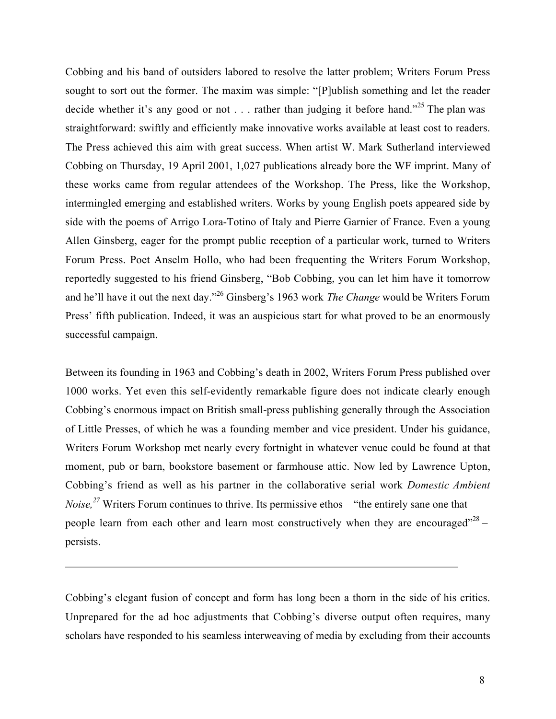Cobbing and his band of outsiders labored to resolve the latter problem; Writers Forum Press sought to sort out the former. The maxim was simple: "[P]ublish something and let the reader decide whether it's any good or not . . . rather than judging it before hand."<sup>25</sup> The plan was straightforward: swiftly and efficiently make innovative works available at least cost to readers. The Press achieved this aim with great success. When artist W. Mark Sutherland interviewed Cobbing on Thursday, 19 April 2001, 1,027 publications already bore the WF imprint. Many of these works came from regular attendees of the Workshop. The Press, like the Workshop, intermingled emerging and established writers. Works by young English poets appeared side by side with the poems of Arrigo Lora-Totino of Italy and Pierre Garnier of France. Even a young Allen Ginsberg, eager for the prompt public reception of a particular work, turned to Writers Forum Press. Poet Anselm Hollo, who had been frequenting the Writers Forum Workshop, reportedly suggested to his friend Ginsberg, "Bob Cobbing, you can let him have it tomorrow and he'll have it out the next day."26 Ginsberg's 1963 work *The Change* would be Writers Forum Press' fifth publication. Indeed, it was an auspicious start for what proved to be an enormously successful campaign.

Between its founding in 1963 and Cobbing's death in 2002, Writers Forum Press published over 1000 works. Yet even this self-evidently remarkable figure does not indicate clearly enough Cobbing's enormous impact on British small-press publishing generally through the Association of Little Presses, of which he was a founding member and vice president. Under his guidance, Writers Forum Workshop met nearly every fortnight in whatever venue could be found at that moment, pub or barn, bookstore basement or farmhouse attic. Now led by Lawrence Upton, Cobbing's friend as well as his partner in the collaborative serial work *Domestic Ambient Noise*,<sup>27</sup> Writers Forum continues to thrive. Its permissive ethos – "the entirely sane one that people learn from each other and learn most constructively when they are encouraged"<sup>28</sup> – persists.

Cobbing's elegant fusion of concept and form has long been a thorn in the side of his critics. Unprepared for the ad hoc adjustments that Cobbing's diverse output often requires, many scholars have responded to his seamless interweaving of media by excluding from their accounts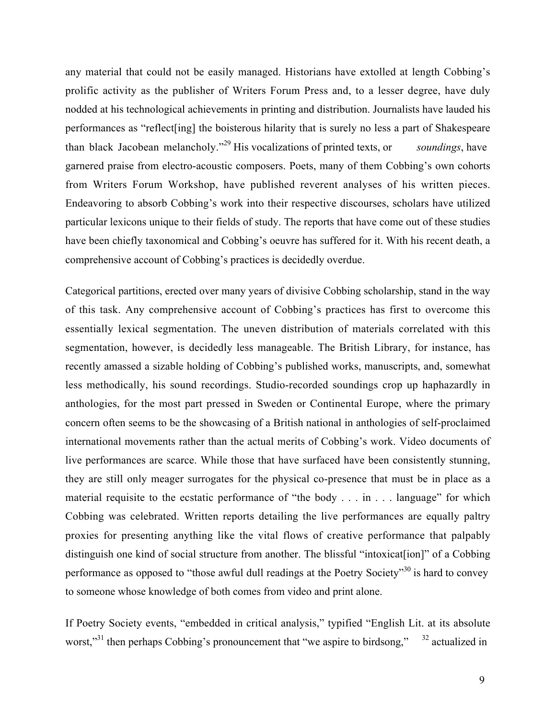any material that could not be easily managed. Historians have extolled at length Cobbing's prolific activity as the publisher of Writers Forum Press and, to a lesser degree, have duly nodded at his technological achievements in printing and distribution. Journalists have lauded his performances as "reflect[ing] the boisterous hilarity that is surely no less a part of Shakespeare than black Jacobean melancholy."<sup>29</sup> His vocalizations of printed texts, or *soundings*, have garnered praise from electro-acoustic composers. Poets, many of them Cobbing's own cohorts from Writers Forum Workshop, have published reverent analyses of his written pieces. Endeavoring to absorb Cobbing's work into their respective discourses, scholars have utilized particular lexicons unique to their fields of study. The reports that have come out of these studies have been chiefly taxonomical and Cobbing's oeuvre has suffered for it. With his recent death, a comprehensive account of Cobbing's practices is decidedly overdue.

Categorical partitions, erected over many years of divisive Cobbing scholarship, stand in the way of this task. Any comprehensive account of Cobbing's practices has first to overcome this essentially lexical segmentation. The uneven distribution of materials correlated with this segmentation, however, is decidedly less manageable. The British Library, for instance, has recently amassed a sizable holding of Cobbing's published works, manuscripts, and, somewhat less methodically, his sound recordings. Studio-recorded soundings crop up haphazardly in anthologies, for the most part pressed in Sweden or Continental Europe, where the primary concern often seems to be the showcasing of a British national in anthologies of self-proclaimed international movements rather than the actual merits of Cobbing's work. Video documents of live performances are scarce. While those that have surfaced have been consistently stunning, they are still only meager surrogates for the physical co-presence that must be in place as a material requisite to the ecstatic performance of "the body . . . in . . . language" for which Cobbing was celebrated. Written reports detailing the live performances are equally paltry proxies for presenting anything like the vital flows of creative performance that palpably distinguish one kind of social structure from another. The blissful "intoxicat[ion]" of a Cobbing performance as opposed to "those awful dull readings at the Poetry Society"<sup>30</sup> is hard to convey to someone whose knowledge of both comes from video and print alone.

If Poetry Society events, "embedded in critical analysis," typified "English Lit. at its absolute worst,"<sup>31</sup> then perhaps Cobbing's pronouncement that "we aspire to birdsong,"  $32$  actualized in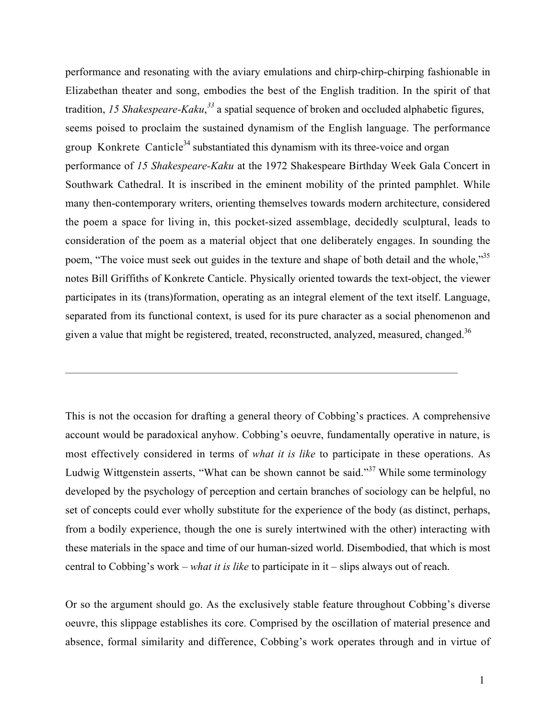performance and resonating with the aviary emulations and chirp-chirp-chirping fashionable in Elizabethan theater and song, embodies the best of the English tradition. In the spirit of that tradition, 15 Shakespeare-Kaku,<sup>33</sup> a spatial sequence of broken and occluded alphabetic figures, seems poised to proclaim the sustained dynamism of the English language. The performance group Konkrete Canticle<sup>34</sup> substantiated this dynamism with its three-voice and organ performance of *15 Shakespeare-Kaku* at the 1972 Shakespeare Birthday Week Gala Concert in Southwark Cathedral. It is inscribed in the eminent mobility of the printed pamphlet. While many then-contemporary writers, orienting themselves towards modern architecture, considered the poem a space for living in, this pocket-sized assemblage, decidedly sculptural, leads to consideration of the poem as a material object that one deliberately engages. In sounding the poem, "The voice must seek out guides in the texture and shape of both detail and the whole,"<sup>35</sup> notes Bill Griffiths of Konkrete Canticle. Physically oriented towards the text-object, the viewer participates in its (trans)formation, operating as an integral element of the text itself. Language, separated from its functional context, is used for its pure character as a social phenomenon and given a value that might be registered, treated, reconstructed, analyzed, measured, changed.<sup>36</sup>

This is not the occasion for drafting a general theory of Cobbing's practices. A comprehensive account would be paradoxical anyhow. Cobbing's oeuvre, fundamentally operative in nature, is most effectively considered in terms of *what it is like* to participate in these operations. As Ludwig Wittgenstein asserts, "What can be shown cannot be said."<sup>37</sup> While some terminology developed by the psychology of perception and certain branches of sociology can be helpful, no set of concepts could ever wholly substitute for the experience of the body (as distinct, perhaps, from a bodily experience, though the one is surely intertwined with the other) interacting with these materials in the space and time of our human-sized world. Disembodied, that which is most central to Cobbing's work – *what it is like* to participate in it – slips always out of reach.

Or so the argument should go. As the exclusively stable feature throughout Cobbing's diverse oeuvre, this slippage establishes its core. Comprised by the oscillation of material presence and absence, formal similarity and difference, Cobbing's work operates through and in virtue of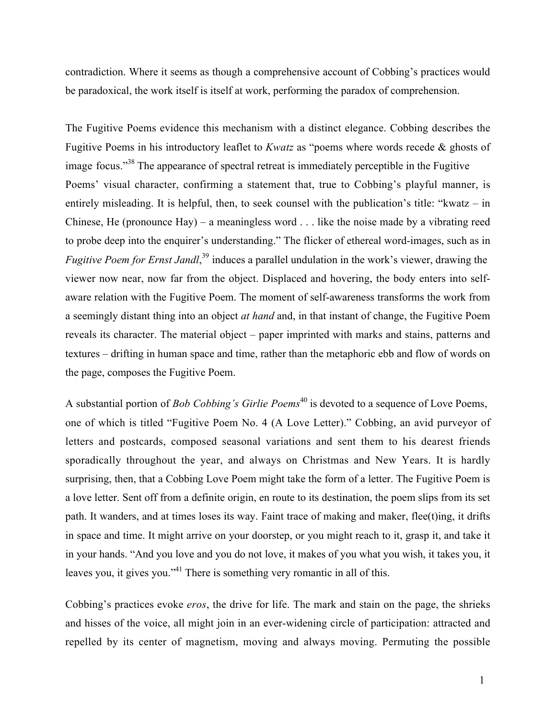contradiction. Where it seems as though a comprehensive account of Cobbing's practices would be paradoxical, the work itself is itself at work, performing the paradox of comprehension.

The Fugitive Poems evidence this mechanism with a distinct elegance. Cobbing describes the Fugitive Poems in his introductory leaflet to *Kwatz* as "poems where words recede & ghosts of image focus."<sup>38</sup> The appearance of spectral retreat is immediately perceptible in the Fugitive Poems' visual character, confirming a statement that, true to Cobbing's playful manner, is entirely misleading. It is helpful, then, to seek counsel with the publication's title: "kwatz – in Chinese, He (pronounce Hay) – a meaningless word . . . like the noise made by a vibrating reed to probe deep into the enquirer's understanding." The flicker of ethereal word-images, such as in *Fugitive Poem for Ernst Jandl*, <sup>39</sup> induces a parallel undulation in the work's viewer, drawing the viewer now near, now far from the object. Displaced and hovering, the body enters into selfaware relation with the Fugitive Poem. The moment of self-awareness transforms the work from a seemingly distant thing into an object *at hand* and, in that instant of change, the Fugitive Poem reveals its character. The material object – paper imprinted with marks and stains, patterns and textures – drifting in human space and time, rather than the metaphoric ebb and flow of words on the page, composes the Fugitive Poem.

A substantial portion of *Bob Cobbing's Girlie Poems*<sup>40</sup> is devoted to a sequence of Love Poems, one of which is titled "Fugitive Poem No. 4 (A Love Letter)." Cobbing, an avid purveyor of letters and postcards, composed seasonal variations and sent them to his dearest friends sporadically throughout the year, and always on Christmas and New Years. It is hardly surprising, then, that a Cobbing Love Poem might take the form of a letter. The Fugitive Poem is a love letter. Sent off from a definite origin, en route to its destination, the poem slips from its set path. It wanders, and at times loses its way. Faint trace of making and maker, flee(t)ing, it drifts in space and time. It might arrive on your doorstep, or you might reach to it, grasp it, and take it in your hands. "And you love and you do not love, it makes of you what you wish, it takes you, it leaves you, it gives you."<sup>41</sup> There is something very romantic in all of this.

Cobbing's practices evoke *eros*, the drive for life. The mark and stain on the page, the shrieks and hisses of the voice, all might join in an ever-widening circle of participation: attracted and repelled by its center of magnetism, moving and always moving. Permuting the possible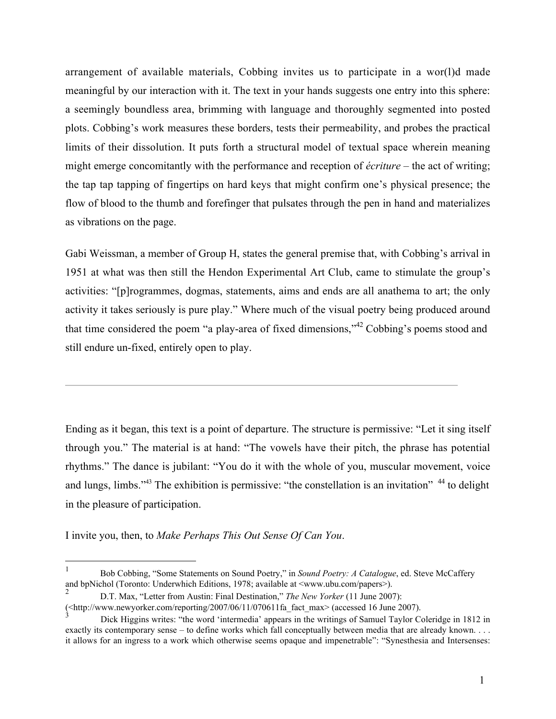arrangement of available materials, Cobbing invites us to participate in a wor(l)d made meaningful by our interaction with it. The text in your hands suggests one entry into this sphere: a seemingly boundless area, brimming with language and thoroughly segmented into posted plots. Cobbing's work measures these borders, tests their permeability, and probes the practical limits of their dissolution. It puts forth a structural model of textual space wherein meaning might emerge concomitantly with the performance and reception of *écriture* – the act of writing; the tap tap tapping of fingertips on hard keys that might confirm one's physical presence; the flow of blood to the thumb and forefinger that pulsates through the pen in hand and materializes as vibrations on the page.

Gabi Weissman, a member of Group H, states the general premise that, with Cobbing's arrival in 1951 at what was then still the Hendon Experimental Art Club, came to stimulate the group's activities: "[p]rogrammes, dogmas, statements, aims and ends are all anathema to art; the only activity it takes seriously is pure play." Where much of the visual poetry being produced around that time considered the poem "a play-area of fixed dimensions," $42$  Cobbing's poems stood and still endure un-fixed, entirely open to play.

Ending as it began, this text is a point of departure. The structure is permissive: "Let it sing itself through you." The material is at hand: "The vowels have their pitch, the phrase has potential rhythms." The dance is jubilant: "You do it with the whole of you, muscular movement, voice and lungs, limbs."<sup>43</sup> The exhibition is permissive: "the constellation is an invitation" <sup>44</sup> to delight in the pleasure of participation.

I invite you, then, to *Make Perhaps This Out Sense Of Can You*.

 <sup>1</sup> Bob Cobbing, "Some Statements on Sound Poetry," in *Sound Poetry: A Catalogue*, ed. Steve McCaffery and bpNichol (Toronto: Underwhich Editions, 1978; available at <www.ubu.com/papers>).

<sup>2</sup> D.T. Max, "Letter from Austin: Final Destination," *The New Yorker* (11 June 2007):

<sup>(&</sup>lt;http://www.newyorker.com/reporting/2007/06/11/070611fa\_fact\_max> (accessed 16 June 2007).

<sup>3</sup> Dick Higgins writes: "the word 'intermedia' appears in the writings of Samuel Taylor Coleridge in 1812 in exactly its contemporary sense – to define works which fall conceptually between media that are already known. . . . it allows for an ingress to a work which otherwise seems opaque and impenetrable": "Synesthesia and Intersenses: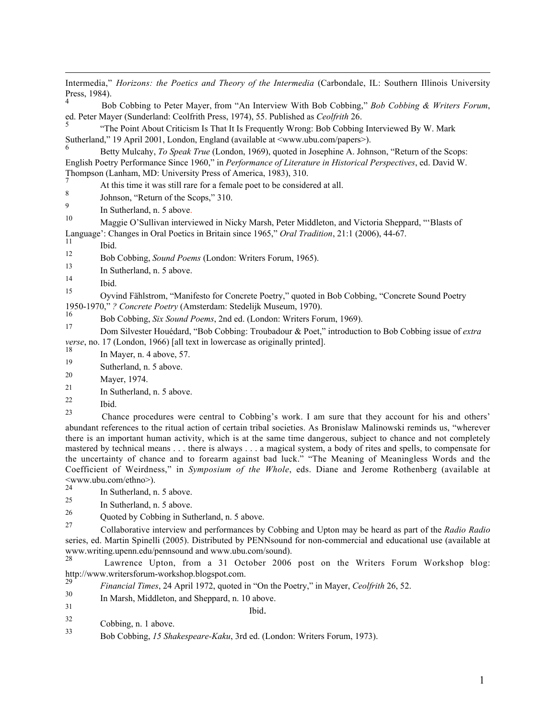$\overline{a}$ Intermedia," *Horizons: the Poetics and Theory of the Intermedia* (Carbondale, IL: Southern Illinois University Press, 1984).

<sup>4</sup> Bob Cobbing to Peter Mayer, from "An Interview With Bob Cobbing," *Bob Cobbing & Writers Forum*, ed. Peter Mayer (Sunderland: Ceolfrith Press, 1974), 55. Published as *Ceolfrith* 26.

5 "The Point About Criticism Is That It Is Frequently Wrong: Bob Cobbing Interviewed By W. Mark Sutherland," 19 April 2001, London, England (available at  $\langle$ www.ubu.com/papers>).

6 Betty Mulcahy, *To Speak True* (London, 1969), quoted in Josephine A. Johnson, "Return of the Scops: English Poetry Performance Since 1960," in *Performance of Literature in Historical Perspectives*, ed. David W. Thompson (Lanham, MD: University Press of America, 1983), 310.

At this time it was still rare for a female poet to be considered at all.

 $\frac{8}{9}$  Johnson, "Return of the Scops," 310.

 $\frac{9}{10}$  In Sutherland, n. 5 above.

10 Maggie O'Sullivan interviewed in Nicky Marsh, Peter Middleton, and Victoria Sheppard, "'Blasts of Language': Changes in Oral Poetics in Britain since 1965," *Oral Tradition*, 21:1 (2006), 44-67.

 $\frac{11}{12}$  Ibid.

12 Bob Cobbing, *Sound Poems* (London: Writers Forum, 1965).

 $\frac{13}{14}$  In Sutherland, n. 5 above.

 $\begin{array}{ccc}\n^{14} & \text{Ibid.} \\
\hline\n\end{array}$ 

15 Oyvind Fählstrom, "Manifesto for Concrete Poetry," quoted in Bob Cobbing, "Concrete Sound Poetry 1950-1970," *? Concrete Poetry* (Amsterdam: Stedelijk Museum, 1970).

16 Bob Cobbing, *Six Sound Poems*, 2nd ed. (London: Writers Forum, 1969).<br>17 Dece Sil, established <sup>6</sup>Deb Galdinas Tarakters <sup>8</sup>, Dect<sup>2</sup> intendential

17 Dom Silvester Houédard, "Bob Cobbing: Troubadour & Poet," introduction to Bob Cobbing issue of *extra verse*, no. 17 (London, 1966) [all text in lowercase as originally printed].

 $\frac{18}{19}$  In Mayer, n. 4 above, 57.

 $19$  Sutherland, n. 5 above.

- $\frac{20}{21}$  Mayer, 1974.
- $\frac{21}{22}$  In Sutherland, n. 5 above.
- $\frac{22}{23}$  Ibid.

<sup>23</sup> Chance procedures were central to Cobbing's work. I am sure that they account for his and others' abundant references to the ritual action of certain tribal societies. As Bronislaw Malinowski reminds us, "wherever there is an important human activity, which is at the same time dangerous, subject to chance and not completely mastered by technical means . . . there is always . . . a magical system, a body of rites and spells, to compensate for the uncertainty of chance and to forearm against bad luck." "The Meaning of Meaningless Words and the Coefficient of Weirdness," in *Symposium of the Whole*, eds. Diane and Jerome Rothenberg (available at  $\leq$ www.ubu.com/ethno>).

 $\frac{24}{25}$  In Sutherland, n. 5 above.

 $\frac{25}{26}$  In Sutherland, n. 5 above.

 $2^{20}$  Quoted by Cobbing in Sutherland, n. 5 above.

<sup>27</sup> Collaborative interview and performances by Cobbing and Upton may be heard as part of the *Radio Radio* series, ed. Martin Spinelli (2005). Distributed by PENNsound for non-commercial and educational use (available at www.writing.upenn.edu/pennsound and www.ubu.com/sound).<br>28

Lawrence Upton, from a 31 October 2006 post on the Writers Forum Workshop blog: http://www.writersforum-workshop.blogspot.com.<br>29

- <sup>29</sup> *Financial Times*, 24 April 1972, quoted in "On the Poetry," in Mayer, *Ceolfrith* 26, 52.
- $\frac{30}{31}$  In Marsh, Middleton, and Sheppard, n. 10 above.

- $\frac{32}{33}$  Cobbing, n. 1 above.<br>  $\frac{32}{33}$  Cobbing, n. 1 above.
- 33 Bob Cobbing, *15 Shakespeare-Kaku*, 3rd ed. (London: Writers Forum, 1973).